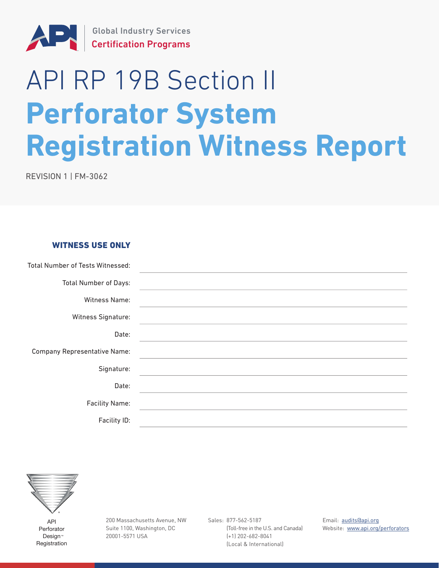

Global Industry Services [Certification Programs](https://www.api.org/)

# API RP 19B Section II **Perforator System Registration Witness Report**

REVISION 1 | FM-3062

| <b>WITNESS USE ONLY</b>                 |                                                                                                                       |
|-----------------------------------------|-----------------------------------------------------------------------------------------------------------------------|
| <b>Total Number of Tests Witnessed:</b> |                                                                                                                       |
| <b>Total Number of Days:</b>            |                                                                                                                       |
| <b>Witness Name:</b>                    | and the control of the control of the control of the control of the control of the control of the control of the      |
| <b>Witness Signature:</b>               | <u> 1980 - Andrea State Barbara, amerikan basar dan berasal dan berasal dalam berasal dan berasal dalam berasal d</u> |
| Date:                                   |                                                                                                                       |
| <b>Company Representative Name:</b>     | <u> 1989 - Johann Stoff, deutscher Stoff, der Stoff, der Stoff, der Stoff, der Stoff, der Stoff, der Stoff, der S</u> |
| Signature:                              | <u> 1989 - Johann Stoff, amerikansk politiker (* 1908)</u>                                                            |
| Date:                                   |                                                                                                                       |
| <b>Facility Name:</b>                   |                                                                                                                       |
| Facility ID:                            |                                                                                                                       |



API Perforator Design ™ Registration 200 Massachusetts Avenue, NW Suite 1100, Washington, DC 20001-5571 USA

Sales: 877-562-5187 (Toll-free in the U.S. and Canada) (+1) 202-682-8041 (Local & International)

Email: [audits@api.org](mailto:audits%40api.org?subject=) Website: [www.api.org/perforators](http://www.api.org/perforators)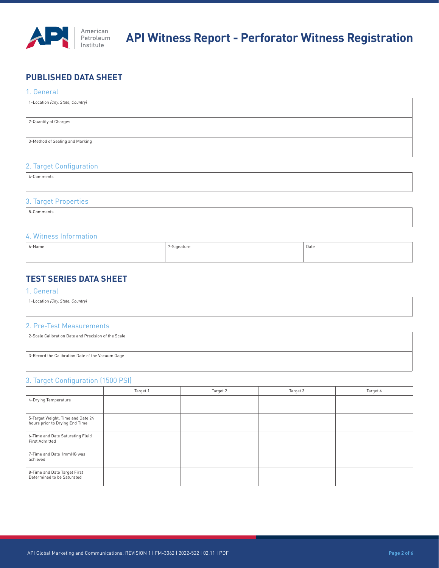

# **PUBLISHED DATA SHEET**

#### 1. General

| 1-Location (City, State, Country)                      |
|--------------------------------------------------------|
|                                                        |
|                                                        |
| 2-Quantity of Charges                                  |
|                                                        |
|                                                        |
| 3-Method of Sealing and Marking                        |
|                                                        |
|                                                        |
|                                                        |
|                                                        |
| $\alpha$ $\tau$ and $\alpha$ and $\alpha$ and $\alpha$ |

#### 2. Target Configuration

4-Comments

#### 3. Target Properties

5-Comments

#### 4. Witness Information

| 6-Name | 7-Signature | Date |
|--------|-------------|------|
|        |             |      |

# **TEST SERIES DATA SHEET**

#### 1. General

1-Location *(City, State, Country)*

#### 2. Pre-Test Measurements

| 2-Scale Calibration Date and Precision of the Scale |  |
|-----------------------------------------------------|--|
| 3-Record the Calibration Date of the Vacuum Gage    |  |

## 3. Target Configuration (1500 PSI)

|                                                                     | Target 1 | Target 2 | Target 3 | Target 4 |
|---------------------------------------------------------------------|----------|----------|----------|----------|
| 4-Drying Temperature                                                |          |          |          |          |
| 5-Target Weight, Time and Date 24<br>hours prior to Drying End Time |          |          |          |          |
| 6-Time and Date Saturating Fluid<br><b>First Admitted</b>           |          |          |          |          |
| 7-Time and Date 1mmHG was<br>achieved                               |          |          |          |          |
| 8-Time and Date Target First<br>Determined to be Saturated          |          |          |          |          |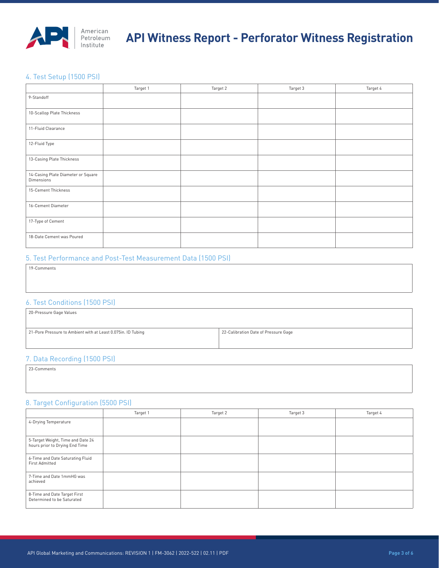

#### 4. Test Setup (1500 PSI)

|                                                  | Target 1 | Target 2 | Target 3 | Target 4 |
|--------------------------------------------------|----------|----------|----------|----------|
| 9-Standoff                                       |          |          |          |          |
| 10-Scallop Plate Thickness                       |          |          |          |          |
| 11-Fluid Clearance                               |          |          |          |          |
| 12-Fluid Type                                    |          |          |          |          |
| 13-Casing Plate Thickness                        |          |          |          |          |
| 14-Casing Plate Diameter or Square<br>Dimensions |          |          |          |          |
| 15-Cement Thickness                              |          |          |          |          |
| 16-Cement Diameter                               |          |          |          |          |
| 17-Type of Cement                                |          |          |          |          |
| 18-Date Cement was Poured                        |          |          |          |          |

#### 5. Test Performance and Post-Test Measurement Data (1500 PSI)

| 19-Comments                   |  |
|-------------------------------|--|
|                               |  |
|                               |  |
| 6. Test Conditions (1500 PSI) |  |
| 20-Pressure Gage Values       |  |

| 21-Pore Pressure to Ambient with at Least 0.075in. ID Tubing | 22-Calibration Date of Pressure Gage |
|--------------------------------------------------------------|--------------------------------------|
|                                                              |                                      |

#### 7. Data Recording (1500 PSI)

23-Comments

#### 8. Target Configuration (5500 PSI)

|                                                                     | Target 1 | Target 2 | Target 3 | Target 4 |
|---------------------------------------------------------------------|----------|----------|----------|----------|
| 4-Drying Temperature                                                |          |          |          |          |
| 5-Target Weight, Time and Date 24<br>hours prior to Drying End Time |          |          |          |          |
| 6-Time and Date Saturating Fluid<br><b>First Admitted</b>           |          |          |          |          |
| 7-Time and Date 1mmHG was<br>achieved                               |          |          |          |          |
| 8-Time and Date Target First<br>Determined to be Saturated          |          |          |          |          |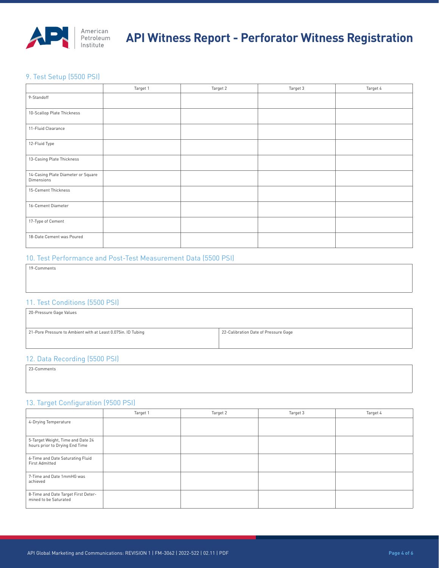

#### 9. Test Setup (5500 PSI)

|                                                  | Target 1 | Target 2 | Target 3 | Target 4 |
|--------------------------------------------------|----------|----------|----------|----------|
| 9-Standoff                                       |          |          |          |          |
| 10-Scallop Plate Thickness                       |          |          |          |          |
| 11-Fluid Clearance                               |          |          |          |          |
| 12-Fluid Type                                    |          |          |          |          |
| 13-Casing Plate Thickness                        |          |          |          |          |
| 14-Casing Plate Diameter or Square<br>Dimensions |          |          |          |          |
| 15-Cement Thickness                              |          |          |          |          |
| 16-Cement Diameter                               |          |          |          |          |
| 17-Type of Cement                                |          |          |          |          |
| 18-Date Cement was Poured                        |          |          |          |          |

#### 10. Test Performance and Post-Test Measurement Data (5500 PSI)

| 19-Comments |
|-------------|
|             |
|             |
|             |

### 11. Test Conditions (5500 PSI)

| 20-Pressure Gage Values                                      |                                      |  |  |
|--------------------------------------------------------------|--------------------------------------|--|--|
| 21-Pore Pressure to Ambient with at Least 0.075in. ID Tubing | 22-Calibration Date of Pressure Gage |  |  |
| 10.044.04444444746600                                        |                                      |  |  |

#### 12. Data Recording (5500 PSI)

23-Comments

#### 13. Target Configuration (9500 PSI)

|                                                                     | Target 1 | Target 2 | Target 3 | Target 4 |
|---------------------------------------------------------------------|----------|----------|----------|----------|
| 4-Drying Temperature                                                |          |          |          |          |
|                                                                     |          |          |          |          |
| 5-Target Weight, Time and Date 24<br>hours prior to Drying End Time |          |          |          |          |
| 6-Time and Date Saturating Fluid<br><b>First Admitted</b>           |          |          |          |          |
| 7-Time and Date 1mmHG was<br>achieved                               |          |          |          |          |
| 8-Time and Date Target First Deter-<br>mined to be Saturated        |          |          |          |          |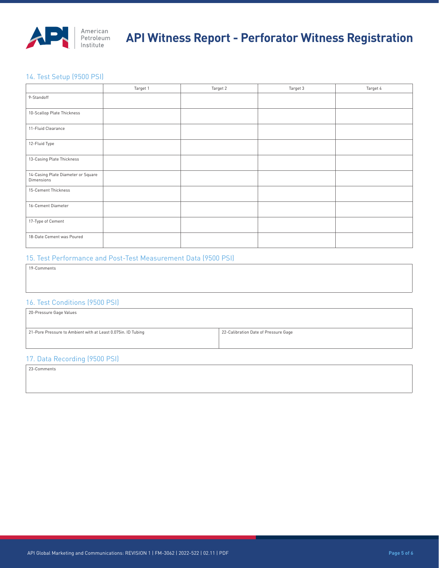

## 14. Test Setup (9500 PSI)

|                                                  | Target 1 | Target 2 | Target 3 | Target 4 |
|--------------------------------------------------|----------|----------|----------|----------|
| 9-Standoff                                       |          |          |          |          |
| 10-Scallop Plate Thickness                       |          |          |          |          |
| 11-Fluid Clearance                               |          |          |          |          |
| 12-Fluid Type                                    |          |          |          |          |
| 13-Casing Plate Thickness                        |          |          |          |          |
| 14-Casing Plate Diameter or Square<br>Dimensions |          |          |          |          |
| 15-Cement Thickness                              |          |          |          |          |
| 16-Cement Diameter                               |          |          |          |          |
| 17-Type of Cement                                |          |          |          |          |
| 18-Date Cement was Poured                        |          |          |          |          |

#### 15. Test Performance and Post-Test Measurement Data (9500 PSI)

19-Comments

### 16. Test Conditions (9500 PSI)

| 20-Pressure Gage Values                                      |                                      |  |
|--------------------------------------------------------------|--------------------------------------|--|
|                                                              |                                      |  |
| 21-Pore Pressure to Ambient with at Least 0.075in. ID Tubing | 22-Calibration Date of Pressure Gage |  |
|                                                              |                                      |  |
| 17. Data Recording (9500 PSI)                                |                                      |  |
| 23-Comments                                                  |                                      |  |